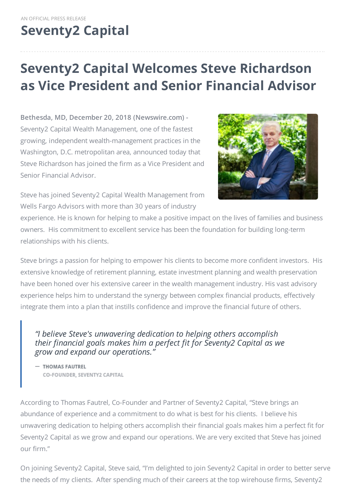# **[Seventy2](http://www.seventy2capital.com) Capital**

## **Seventy2 Capital Welcomes Steve Richardson as Vice President and Senior Financial Advisor**

**Bethesda, MD, December 20, 2018 (Newswire.com) -** Seventy2 Capital Wealth Management, one of the fastest growing, independent wealth-management practices in the Washington, D.C. metropolitan area, announced today that Steve Richardson has joined the firm as a Vice President and Senior Financial Advisor.



Steve has joined Seventy2 Capital Wealth Management from Wells Fargo Advisors with more than 30 years of industry

experience. He is known for helping to make a positive impact on the lives of families and business owners. His commitment to excellent service has been the foundation for building long-term relationships with his clients.

Steve brings a passion for helping to empower his clients to become more confident investors. His extensive knowledge of retirement planning, estate investment planning and wealth preservation have been honed over his extensive career in the wealth management industry. His vast advisory experience helps him to understand the synergy between complex financial products, effectively integrate them into a plan that instills confidence and improve the financial future of others.

### *"I believe Steve's unwavering dedication to helping others accomplish their financial goals makes him a perfect fit for Seventy2 Capital as we grow and expand our operations."*

- THOMAS FAUTREL CO-FOUNDER, SEVENTY2 CAPITAL

According to Thomas Fautrel, Co-Founder and Partner of Seventy2 Capital, "Steve brings an abundance of experience and a commitment to do what is best for his clients. I believe his unwavering dedication to helping others accomplish their financial goals makes him a perfect fit for Seventy2 Capital as we grow and expand our operations. We are very excited that Steve has joined our firm."

On joining Seventy2 Capital, Steve said, "I'm delighted to join Seventy2 Capital in order to better serve the needs of my clients. After spending much of their careers at the top wirehouse firms, Seventy2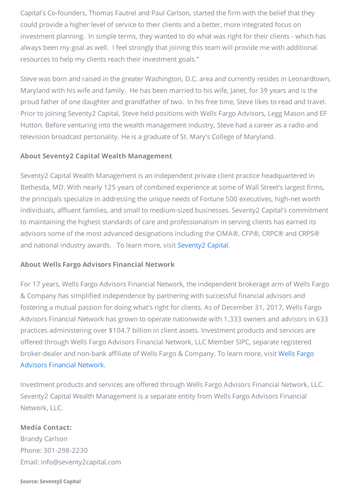Capital's Co-founders, Thomas Fautrel and Paul Carlson, started the firm with the belief that they could provide a higher level of service to their clients and a better, more integrated focus on investment planning. In simple terms, they wanted to do what was right for their clients - which has always been my goal as well. I feel strongly that joining this team will provide me with additional resources to help my clients reach their investment goals."

Steve was born and raised in the greater Washington, D.C. area and currently resides in Leonardtown, Maryland with his wife and family. He has been married to his wife, Janet, for 39 years and is the proud father of one daughter and grandfather of two. In his free time, Steve likes to read and travel. Prior to joining Seventy2 Capital, Steve held positions with Wells Fargo Advisors, Legg Mason and EF Hutton. Before venturing into the wealth management industry, Steve had a career as a radio and television broadcast personality. He is a graduate of St. Mary's College of Maryland.

#### **About Seventy2 Capital Wealth Management**

Seventy2 Capital Wealth Management is an independent private client practice headquartered in Bethesda, MD. With nearly 125 years of combined experience at some of Wall Street's largest firms, the principals specialize in addressing the unique needs of Fortune 500 executives, high-net worth individuals, affluent families, and small to medium-sized businesses. Seventy2 Capital's commitment to maintaining the highest standards of care and professionalism in serving clients has earned its advisors some of the most advanced designations including the CIMA®, CFP®, CRPC® and CRPS® and national industry awards. To learn more, visit [Seventy2](http://www.seventy2capital.com/) Capital.

### **About Wells Fargo Advisors Financial Network**

For 17 years, Wells Fargo Advisors Financial Network, the independent brokerage arm of Wells Fargo & Company has simplified independence by partnering with successful financial advisors and fostering a mutual passion for doing what's right for clients. As of December 31, 2017, Wells Fargo Advisors Financial Network has grown to operate nationwide with 1,333 owners and advisors in 633 practices administering over \$104.7 billion in client assets. Investment products and services are offered through Wells Fargo Advisors Financial Network, LLC Member SIPC, separate registered [broker-dealer](http://www.wfafinet.com/) and non-bank affiliate of Wells Fargo & Company. To learn more, visit Wells Fargo Advisors Financial Network.

Investment products and services are offered through Wells Fargo Advisors Financial Network, LLC. Seventy2 Capital Wealth Management is a separate entity from Wells Fargo Advisors Financial Network, LLC.

#### **Media Contact:**

Brandy Carlson Phone: 301-298-2230 Email: info@seventy2capital.com

#### Source: Seventy2 Capital